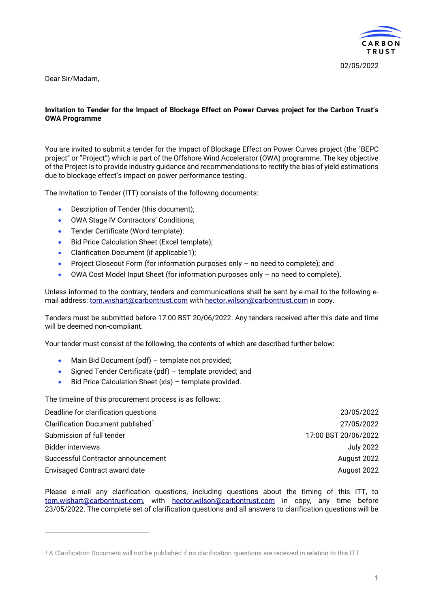

Dear Sir/Madam,

#### **Invitation to Tender for the Impact of Blockage Effect on Power Curves project for the Carbon Trust's OWA Programme**

You are invited to submit a tender for the Impact of Blockage Effect on Power Curves project (the "BEPC project" or "Project") which is part of the Offshore Wind Accelerator (OWA) programme. The key objective of the Project is to provide industry guidance and recommendations to rectify the bias of yield estimations due to blockage effect's impact on power performance testing.

The Invitation to Tender (ITT) consists of the following documents:

- Description of Tender (this document);
- OWA Stage IV Contractors' Conditions;
- Tender Certificate (Word template);
- Bid Price Calculation Sheet (Excel template);
- Clarification Document (if applicable1);
- Project Closeout Form (for information purposes only no need to complete); and
- OWA Cost Model Input Sheet (for information purposes only no need to complete).

Unless informed to the contrary, tenders and communications shall be sent by e-mail to the following email address: [tom.wishart@carbontrust.com](mailto:tom.wishart@carbontrust.com) with [hector.wilson@carbontrust.com](mailto:hector.wilson@carbontrust.com) in copy.

Tenders must be submitted before 17:00 BST 20/06/2022. Any tenders received after this date and time will be deemed non-compliant.

Your tender must consist of the following, the contents of which are described further below:

- Main Bid Document (pdf) template not provided;
- Signed Tender Certificate (pdf) template provided; and
- Bid Price Calculation Sheet (xls) template provided.

The timeline of this procurement process is as follows:

| Deadline for clarification questions          | 23/05/2022           |
|-----------------------------------------------|----------------------|
| Clarification Document published <sup>1</sup> | 27/05/2022           |
| Submission of full tender                     | 17:00 BST 20/06/2022 |
| <b>Bidder interviews</b>                      | July 2022            |
| Successful Contractor announcement            | August 2022          |
| <b>Envisaged Contract award date</b>          | August 2022          |

Please e-mail any clarification questions, including questions about the timing of this ITT, to [tom.wishart@carbontrust.com,](mailto:tom.wishart@carbontrust.com) with [hector.wilson@carbontrust.com](mailto:hector.wilson@carbontrust.com) in copy, any time before 23/05/2022. The complete set of clarification questions and all answers to clarification questions will be

<sup>1</sup> A Clarification Document will not be published if no clarification questions are received in relation to this ITT.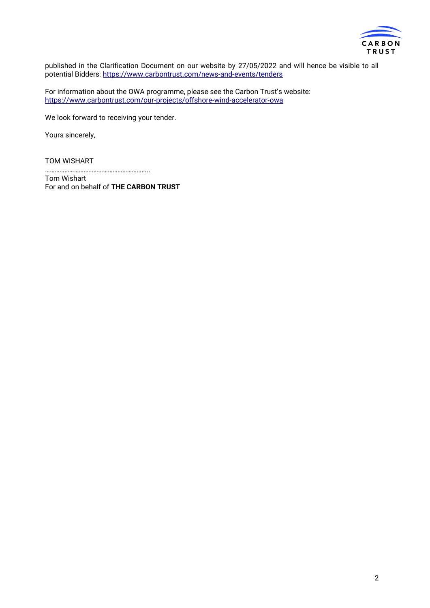

published in the Clarification Document on our website by 27/05/2022 and will hence be visible to all potential Bidders:<https://www.carbontrust.com/news-and-events/tenders>

For information about the OWA programme, please see the Carbon Trust's website: <https://www.carbontrust.com/our-projects/offshore-wind-accelerator-owa>

We look forward to receiving your tender.

Yours sincerely,

TOM WISHART

……………………………………………………….. Tom Wishart

For and on behalf of **THE CARBON TRUST**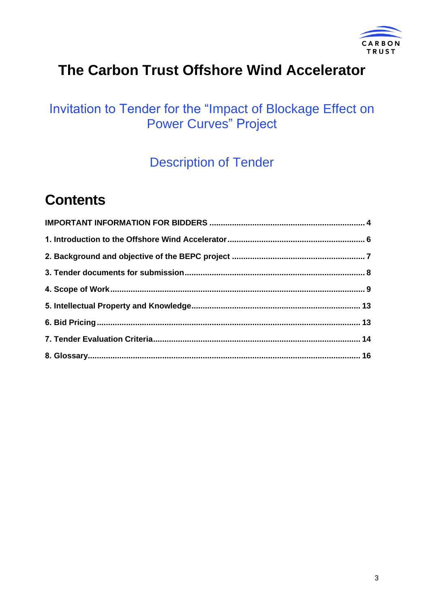

## **The Carbon Trust Offshore Wind Accelerator**

### Invitation to Tender for the "Impact of Blockage Effect on Power Curves" Project

Description of Tender

## **Contents**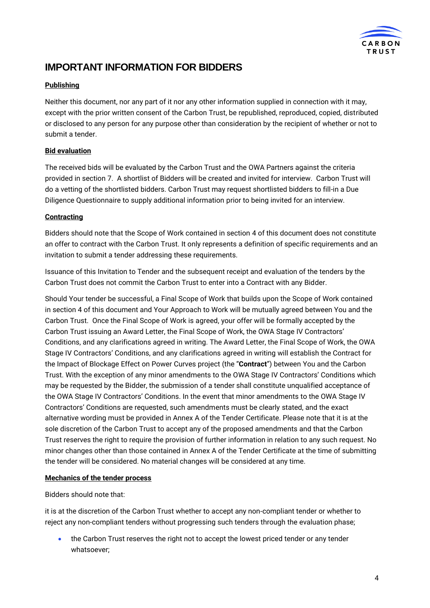

### <span id="page-3-0"></span>**IMPORTANT INFORMATION FOR BIDDERS**

### **Publishing**

Neither this document, nor any part of it nor any other information supplied in connection with it may, except with the prior written consent of the Carbon Trust, be republished, reproduced, copied, distributed or disclosed to any person for any purpose other than consideration by the recipient of whether or not to submit a tender.

### **Bid evaluation**

The received bids will be evaluated by the Carbon Trust and the OWA Partners against the criteria provided in section 7. A shortlist of Bidders will be created and invited for interview. Carbon Trust will do a vetting of the shortlisted bidders. Carbon Trust may request shortlisted bidders to fill-in a Due Diligence Questionnaire to supply additional information prior to being invited for an interview.

### **Contracting**

Bidders should note that the Scope of Work contained in section 4 of this document does not constitute an offer to contract with the Carbon Trust. It only represents a definition of specific requirements and an invitation to submit a tender addressing these requirements.

Issuance of this Invitation to Tender and the subsequent receipt and evaluation of the tenders by the Carbon Trust does not commit the Carbon Trust to enter into a Contract with any Bidder.

Should Your tender be successful, a Final Scope of Work that builds upon the Scope of Work contained in section 4 of this document and Your Approach to Work will be mutually agreed between You and the Carbon Trust. Once the Final Scope of Work is agreed, your offer will be formally accepted by the Carbon Trust issuing an Award Letter, the Final Scope of Work, the OWA Stage IV Contractors' Conditions, and any clarifications agreed in writing. The Award Letter, the Final Scope of Work, the OWA Stage IV Contractors' Conditions, and any clarifications agreed in writing will establish the Contract for the Impact of Blockage Effect on Power Curves project (the "**Contract**") between You and the Carbon Trust. With the exception of any minor amendments to the OWA Stage IV Contractors' Conditions which may be requested by the Bidder, the submission of a tender shall constitute unqualified acceptance of the OWA Stage IV Contractors' Conditions. In the event that minor amendments to the OWA Stage IV Contractors' Conditions are requested, such amendments must be clearly stated, and the exact alternative wording must be provided in Annex A of the Tender Certificate. Please note that it is at the sole discretion of the Carbon Trust to accept any of the proposed amendments and that the Carbon Trust reserves the right to require the provision of further information in relation to any such request. No minor changes other than those contained in Annex A of the Tender Certificate at the time of submitting the tender will be considered. No material changes will be considered at any time.

### **Mechanics of the tender process**

### Bidders should note that:

it is at the discretion of the Carbon Trust whether to accept any non-compliant tender or whether to reject any non-compliant tenders without progressing such tenders through the evaluation phase;

• the Carbon Trust reserves the right not to accept the lowest priced tender or any tender whatsoever;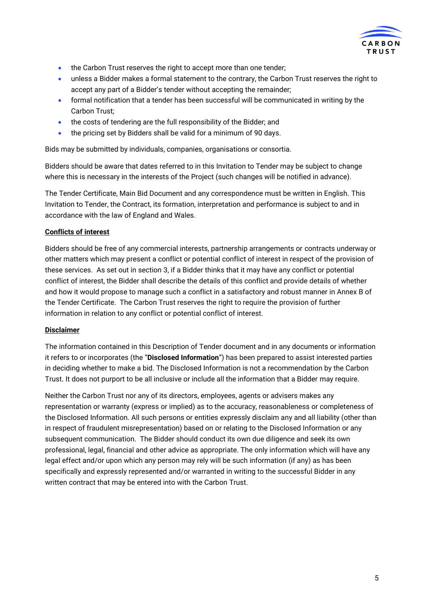

- the Carbon Trust reserves the right to accept more than one tender;
- unless a Bidder makes a formal statement to the contrary, the Carbon Trust reserves the right to accept any part of a Bidder's tender without accepting the remainder;
- formal notification that a tender has been successful will be communicated in writing by the Carbon Trust;
- the costs of tendering are the full responsibility of the Bidder; and
- the pricing set by Bidders shall be valid for a minimum of 90 days.

Bids may be submitted by individuals, companies, organisations or consortia.

Bidders should be aware that dates referred to in this Invitation to Tender may be subject to change where this is necessary in the interests of the Project (such changes will be notified in advance).

The Tender Certificate, Main Bid Document and any correspondence must be written in English. This Invitation to Tender, the Contract, its formation, interpretation and performance is subject to and in accordance with the law of England and Wales.

#### **Conflicts of interest**

Bidders should be free of any commercial interests, partnership arrangements or contracts underway or other matters which may present a conflict or potential conflict of interest in respect of the provision of these services. As set out in section 3, if a Bidder thinks that it may have any conflict or potential conflict of interest, the Bidder shall describe the details of this conflict and provide details of whether and how it would propose to manage such a conflict in a satisfactory and robust manner in Annex B of the Tender Certificate. The Carbon Trust reserves the right to require the provision of further information in relation to any conflict or potential conflict of interest.

#### **Disclaimer**

The information contained in this Description of Tender document and in any documents or information it refers to or incorporates (the "**Disclosed Information**") has been prepared to assist interested parties in deciding whether to make a bid. The Disclosed Information is not a recommendation by the Carbon Trust. It does not purport to be all inclusive or include all the information that a Bidder may require.

Neither the Carbon Trust nor any of its directors, employees, agents or advisers makes any representation or warranty (express or implied) as to the accuracy, reasonableness or completeness of the Disclosed Information. All such persons or entities expressly disclaim any and all liability (other than in respect of fraudulent misrepresentation) based on or relating to the Disclosed Information or any subsequent communication. The Bidder should conduct its own due diligence and seek its own professional, legal, financial and other advice as appropriate. The only information which will have any legal effect and/or upon which any person may rely will be such information (if any) as has been specifically and expressly represented and/or warranted in writing to the successful Bidder in any written contract that may be entered into with the Carbon Trust.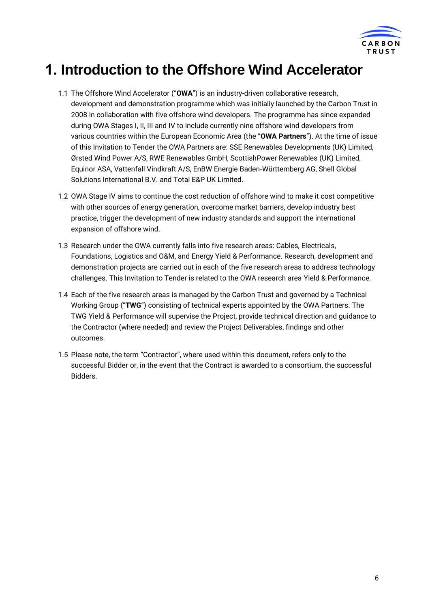

## <span id="page-5-0"></span>**1. Introduction to the Offshore Wind Accelerator**

- 1.1 The Offshore Wind Accelerator ("**OWA**") is an industry-driven collaborative research, development and demonstration programme which was initially launched by the Carbon Trust in 2008 in collaboration with five offshore wind developers. The programme has since expanded during OWA Stages I, II, III and IV to include currently nine offshore wind developers from various countries within the European Economic Area (the "**OWA Partners**"). At the time of issue of this Invitation to Tender the OWA Partners are: SSE Renewables Developments (UK) Limited, Ørsted Wind Power A/S, RWE Renewables GmbH, ScottishPower Renewables (UK) Limited, Equinor ASA, Vattenfall Vindkraft A/S, EnBW Energie Baden-Württemberg AG, Shell Global Solutions International B.V. and Total E&P UK Limited.
- 1.2 OWA Stage IV aims to continue the cost reduction of offshore wind to make it cost competitive with other sources of energy generation, overcome market barriers, develop industry best practice, trigger the development of new industry standards and support the international expansion of offshore wind.
- 1.3 Research under the OWA currently falls into five research areas: Cables, Electricals, Foundations, Logistics and O&M, and Energy Yield & Performance. Research, development and demonstration projects are carried out in each of the five research areas to address technology challenges. This Invitation to Tender is related to the OWA research area Yield & Performance.
- 1.4 Each of the five research areas is managed by the Carbon Trust and governed by a Technical Working Group ("**TWG**") consisting of technical experts appointed by the OWA Partners. The TWG Yield & Performance will supervise the Project, provide technical direction and guidance to the Contractor (where needed) and review the Project Deliverables, findings and other outcomes.
- 1.5 Please note, the term "Contractor", where used within this document, refers only to the successful Bidder or, in the event that the Contract is awarded to a consortium, the successful Bidders.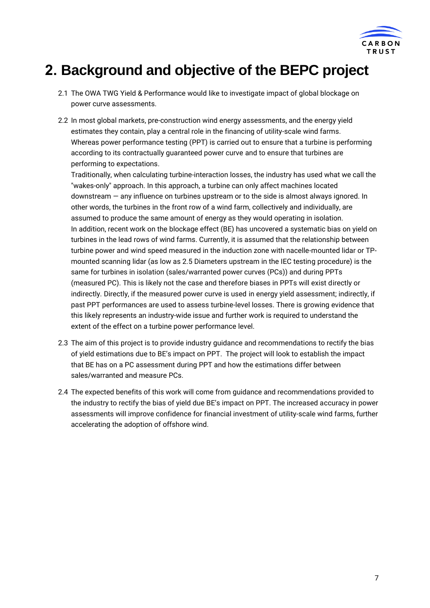

### <span id="page-6-0"></span>**2. Background and objective of the BEPC project**

- 2.1 The OWA TWG Yield & Performance would like to investigate impact of global blockage on power curve assessments.
- 2.2 In most global markets, pre-construction wind energy assessments, and the energy yield estimates they contain, play a central role in the financing of utility-scale wind farms. Whereas power performance testing (PPT) is carried out to ensure that a turbine is performing according to its contractually guaranteed power curve and to ensure that turbines are performing to expectations.

Traditionally, when calculating turbine-interaction losses, the industry has used what we call the "wakes-only" approach. In this approach, a turbine can only affect machines located downstream — any influence on turbines upstream or to the side is almost always ignored. In other words, the turbines in the front row of a wind farm, collectively and individually, are assumed to produce the same amount of energy as they would operating in isolation. In addition, recent work on the blockage effect (BE) has uncovered a systematic bias on yield on turbines in the lead rows of wind farms. Currently, it is assumed that the relationship between turbine power and wind speed measured in the induction zone with nacelle-mounted lidar or TPmounted scanning lidar (as low as 2.5 Diameters upstream in the IEC testing procedure) is the same for turbines in isolation (sales/warranted power curves (PCs)) and during PPTs (measured PC). This is likely not the case and therefore biases in PPTs will exist directly or indirectly. Directly, if the measured power curve is used in energy yield assessment; indirectly, if past PPT performances are used to assess turbine-level losses. There is growing evidence that this likely represents an industry-wide issue and further work is required to understand the extent of the effect on a turbine power performance level.

- 2.3 The aim of this project is to provide industry guidance and recommendations to rectify the bias of yield estimations due to BE's impact on PPT. The project will look to establish the impact that BE has on a PC assessment during PPT and how the estimations differ between sales/warranted and measure PCs.
- 2.4 The expected benefits of this work will come from guidance and recommendations provided to the industry to rectify the bias of yield due BE's impact on PPT. The increased accuracy in power assessments will improve confidence for financial investment of utility-scale wind farms, further accelerating the adoption of offshore wind.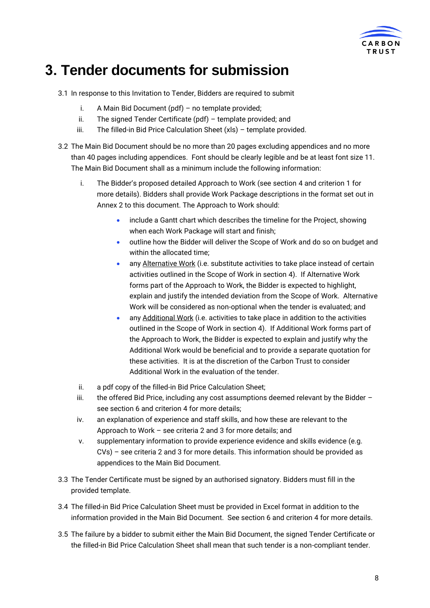

## <span id="page-7-0"></span>**3. Tender documents for submission**

- 3.1 In response to this Invitation to Tender, Bidders are required to submit
	- i. A Main Bid Document (pdf) no template provided;
	- ii. The signed Tender Certificate ( $pdf$ ) template provided; and
	- iii. The filled-in Bid Price Calculation Sheet (xls) template provided.
- 3.2 The Main Bid Document should be no more than 20 pages excluding appendices and no more than 40 pages including appendices. Font should be clearly legible and be at least font size 11. The Main Bid Document shall as a minimum include the following information:
	- i. The Bidder's proposed detailed Approach to Work (see section 4 and criterion 1 for more details). Bidders shall provide Work Package descriptions in the format set out in Annex 2 to this document. The Approach to Work should:
		- include a Gantt chart which describes the timeline for the Project, showing when each Work Package will start and finish;
		- outline how the Bidder will deliver the Scope of Work and do so on budget and within the allocated time;
		- any Alternative Work (i.e. substitute activities to take place instead of certain activities outlined in the Scope of Work in section 4). If Alternative Work forms part of the Approach to Work, the Bidder is expected to highlight, explain and justify the intended deviation from the Scope of Work. Alternative Work will be considered as non-optional when the tender is evaluated; and
		- any **Additional Work** (i.e. activities to take place in addition to the activities outlined in the Scope of Work in section 4). If Additional Work forms part of the Approach to Work, the Bidder is expected to explain and justify why the Additional Work would be beneficial and to provide a separate quotation for these activities. It is at the discretion of the Carbon Trust to consider Additional Work in the evaluation of the tender.
	- ii. a pdf copy of the filled-in Bid Price Calculation Sheet;
	- iii. the offered Bid Price, including any cost assumptions deemed relevant by the Bidder  $$ see section 6 and criterion 4 for more details;
	- iv. an explanation of experience and staff skills, and how these are relevant to the Approach to Work – see criteria 2 and 3 for more details; and
	- v. supplementary information to provide experience evidence and skills evidence (e.g. CVs) – see criteria 2 and 3 for more details. This information should be provided as appendices to the Main Bid Document.
- 3.3 The Tender Certificate must be signed by an authorised signatory. Bidders must fill in the provided template.
- 3.4 The filled-in Bid Price Calculation Sheet must be provided in Excel format in addition to the information provided in the Main Bid Document. See section 6 and criterion 4 for more details.
- 3.5 The failure by a bidder to submit either the Main Bid Document, the signed Tender Certificate or the filled-in Bid Price Calculation Sheet shall mean that such tender is a non-compliant tender.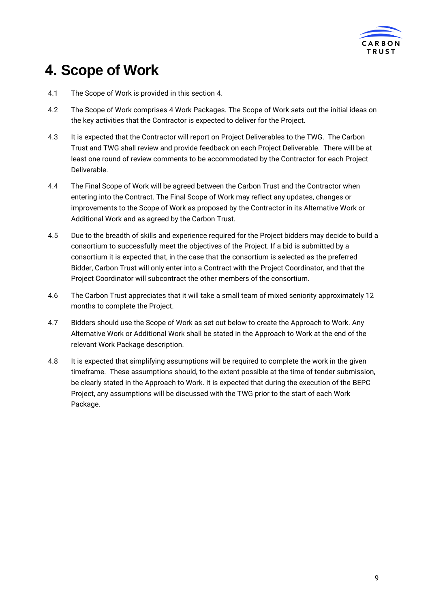

## <span id="page-8-0"></span>**4. Scope of Work**

- 4.1 The Scope of Work is provided in this section 4.
- 4.2 The Scope of Work comprises 4 Work Packages. The Scope of Work sets out the initial ideas on the key activities that the Contractor is expected to deliver for the Project.
- 4.3 It is expected that the Contractor will report on Project Deliverables to the TWG. The Carbon Trust and TWG shall review and provide feedback on each Project Deliverable. There will be at least one round of review comments to be accommodated by the Contractor for each Project Deliverable.
- 4.4 The Final Scope of Work will be agreed between the Carbon Trust and the Contractor when entering into the Contract. The Final Scope of Work may reflect any updates, changes or improvements to the Scope of Work as proposed by the Contractor in its Alternative Work or Additional Work and as agreed by the Carbon Trust.
- 4.5 Due to the breadth of skills and experience required for the Project bidders may decide to build a consortium to successfully meet the objectives of the Project. If a bid is submitted by a consortium it is expected that, in the case that the consortium is selected as the preferred Bidder, Carbon Trust will only enter into a Contract with the Project Coordinator, and that the Project Coordinator will subcontract the other members of the consortium.
- 4.6 The Carbon Trust appreciates that it will take a small team of mixed seniority approximately 12 months to complete the Project.
- 4.7 Bidders should use the Scope of Work as set out below to create the Approach to Work. Any Alternative Work or Additional Work shall be stated in the Approach to Work at the end of the relevant Work Package description.
- 4.8 It is expected that simplifying assumptions will be required to complete the work in the given timeframe. These assumptions should, to the extent possible at the time of tender submission, be clearly stated in the Approach to Work. It is expected that during the execution of the BEPC Project, any assumptions will be discussed with the TWG prior to the start of each Work Package.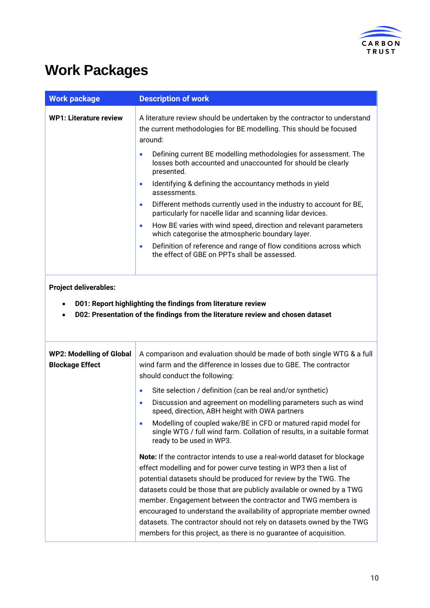

## **Work Packages**

| <b>Work package</b>                                       | <b>Description of work</b>                                                                                                                                                                                                                                                                                                                                                                                                                                                                                                                                                          |
|-----------------------------------------------------------|-------------------------------------------------------------------------------------------------------------------------------------------------------------------------------------------------------------------------------------------------------------------------------------------------------------------------------------------------------------------------------------------------------------------------------------------------------------------------------------------------------------------------------------------------------------------------------------|
| <b>WP1: Literature review</b>                             | A literature review should be undertaken by the contractor to understand<br>the current methodologies for BE modelling. This should be focused<br>around:                                                                                                                                                                                                                                                                                                                                                                                                                           |
|                                                           | Defining current BE modelling methodologies for assessment. The<br>losses both accounted and unaccounted for should be clearly<br>presented.                                                                                                                                                                                                                                                                                                                                                                                                                                        |
|                                                           | Identifying & defining the accountancy methods in yield<br>$\bullet$<br>assessments.                                                                                                                                                                                                                                                                                                                                                                                                                                                                                                |
|                                                           | Different methods currently used in the industry to account for BE,<br>$\bullet$<br>particularly for nacelle lidar and scanning lidar devices.                                                                                                                                                                                                                                                                                                                                                                                                                                      |
|                                                           | How BE varies with wind speed, direction and relevant parameters<br>$\bullet$<br>which categorise the atmospheric boundary layer.                                                                                                                                                                                                                                                                                                                                                                                                                                                   |
|                                                           | Definition of reference and range of flow conditions across which<br>$\bullet$<br>the effect of GBE on PPTs shall be assessed.                                                                                                                                                                                                                                                                                                                                                                                                                                                      |
| <b>Project deliverables:</b><br>$\bullet$<br>$\bullet$    | D01: Report highlighting the findings from literature review<br>D02: Presentation of the findings from the literature review and chosen dataset                                                                                                                                                                                                                                                                                                                                                                                                                                     |
| <b>WP2: Modelling of Global</b><br><b>Blockage Effect</b> | A comparison and evaluation should be made of both single WTG & a full<br>wind farm and the difference in losses due to GBE. The contractor<br>should conduct the following:                                                                                                                                                                                                                                                                                                                                                                                                        |
|                                                           | Site selection / definition (can be real and/or synthetic)<br>$\bullet$                                                                                                                                                                                                                                                                                                                                                                                                                                                                                                             |
|                                                           | Discussion and agreement on modelling parameters such as wind<br>$\bullet$<br>speed, direction, ABH height with OWA partners                                                                                                                                                                                                                                                                                                                                                                                                                                                        |
|                                                           | Modelling of coupled wake/BE in CFD or matured rapid model for<br>$\bullet$<br>single WTG / full wind farm. Collation of results, in a suitable format<br>ready to be used in WP3.                                                                                                                                                                                                                                                                                                                                                                                                  |
|                                                           | Note: If the contractor intends to use a real-world dataset for blockage<br>effect modelling and for power curve testing in WP3 then a list of<br>potential datasets should be produced for review by the TWG. The<br>datasets could be those that are publicly available or owned by a TWG<br>member. Engagement between the contractor and TWG members is<br>encouraged to understand the availability of appropriate member owned<br>datasets. The contractor should not rely on datasets owned by the TWG<br>members for this project, as there is no guarantee of acquisition. |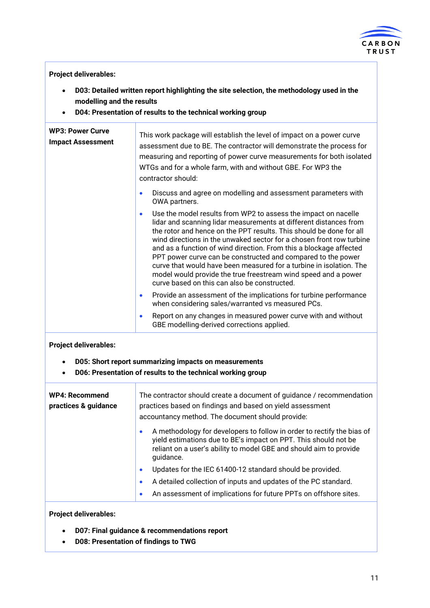

#### **Project deliverables:**

- **D03: Detailed written report highlighting the site selection, the methodology used in the modelling and the results**
- **D04: Presentation of results to the technical working group**

| <b>WP3: Power Curve</b><br><b>Impact Assessment</b> | This work package will establish the level of impact on a power curve<br>assessment due to BE. The contractor will demonstrate the process for<br>measuring and reporting of power curve measurements for both isolated<br>WTGs and for a whole farm, with and without GBE. For WP3 the<br>contractor should:                                                                                                                                                                                                                                                                                                          |
|-----------------------------------------------------|------------------------------------------------------------------------------------------------------------------------------------------------------------------------------------------------------------------------------------------------------------------------------------------------------------------------------------------------------------------------------------------------------------------------------------------------------------------------------------------------------------------------------------------------------------------------------------------------------------------------|
|                                                     | Discuss and agree on modelling and assessment parameters with<br>$\bullet$<br>OWA partners.                                                                                                                                                                                                                                                                                                                                                                                                                                                                                                                            |
|                                                     | Use the model results from WP2 to assess the impact on nacelle<br>۰<br>lidar and scanning lidar measurements at different distances from<br>the rotor and hence on the PPT results. This should be done for all<br>wind directions in the unwaked sector for a chosen front row turbine<br>and as a function of wind direction. From this a blockage affected<br>PPT power curve can be constructed and compared to the power<br>curve that would have been measured for a turbine in isolation. The<br>model would provide the true freestream wind speed and a power<br>curve based on this can also be constructed. |
|                                                     | Provide an assessment of the implications for turbine performance<br>$\bullet$<br>when considering sales/warranted vs measured PCs.                                                                                                                                                                                                                                                                                                                                                                                                                                                                                    |
|                                                     | Report on any changes in measured power curve with and without<br>$\bullet$<br>GBE modelling-derived corrections applied.                                                                                                                                                                                                                                                                                                                                                                                                                                                                                              |

### **Project deliverables:**

- **D05: Short report summarizing impacts on measurements**
- **D06: Presentation of results to the technical working group**

| <b>WP4: Recommend</b><br>practices & guidance | The contractor should create a document of guidance / recommendation<br>practices based on findings and based on yield assessment<br>accountancy method. The document should provide:                                                     |
|-----------------------------------------------|-------------------------------------------------------------------------------------------------------------------------------------------------------------------------------------------------------------------------------------------|
|                                               | A methodology for developers to follow in order to rectify the bias of<br>$\bullet$<br>yield estimations due to BE's impact on PPT. This should not be<br>reliant on a user's ability to model GBE and should aim to provide<br>quidance. |
|                                               | Updates for the IEC 61400-12 standard should be provided.<br>$\bullet$                                                                                                                                                                    |
|                                               | A detailed collection of inputs and updates of the PC standard.<br>$\bullet$                                                                                                                                                              |
|                                               | An assessment of implications for future PPTs on offshore sites.                                                                                                                                                                          |

### **Project deliverables:**

- **D07: Final guidance & recommendations report**
- **D08: Presentation of findings to TWG**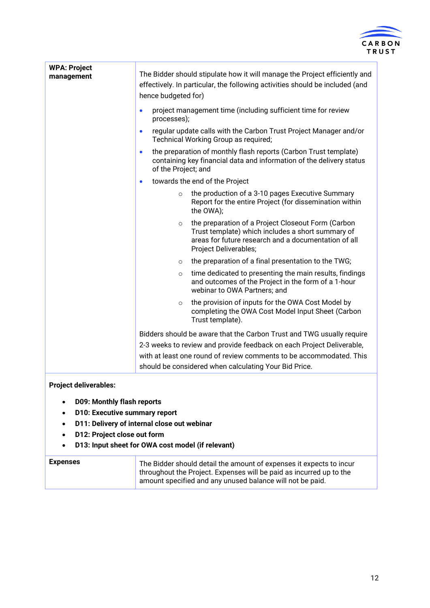

| <b>WPA: Project</b><br>management | The Bidder should stipulate how it will manage the Project efficiently and<br>effectively. In particular, the following activities should be included (and<br>hence budgeted for)                   |
|-----------------------------------|-----------------------------------------------------------------------------------------------------------------------------------------------------------------------------------------------------|
|                                   | project management time (including sufficient time for review<br>$\bullet$<br>processes);                                                                                                           |
|                                   | regular update calls with the Carbon Trust Project Manager and/or<br>$\bullet$<br>Technical Working Group as required;                                                                              |
|                                   | the preparation of monthly flash reports (Carbon Trust template)<br>$\bullet$<br>containing key financial data and information of the delivery status<br>of the Project; and                        |
|                                   | towards the end of the Project<br>$\bullet$                                                                                                                                                         |
|                                   | the production of a 3-10 pages Executive Summary<br>$\circ$<br>Report for the entire Project (for dissemination within<br>the OWA);                                                                 |
|                                   | the preparation of a Project Closeout Form (Carbon<br>$\circ$<br>Trust template) which includes a short summary of<br>areas for future research and a documentation of all<br>Project Deliverables; |
|                                   | the preparation of a final presentation to the TWG;<br>$\circ$                                                                                                                                      |
|                                   | time dedicated to presenting the main results, findings<br>$\circ$<br>and outcomes of the Project in the form of a 1-hour<br>webinar to OWA Partners; and                                           |
|                                   | the provision of inputs for the OWA Cost Model by<br>$\circ$<br>completing the OWA Cost Model Input Sheet (Carbon<br>Trust template).                                                               |
|                                   | Bidders should be aware that the Carbon Trust and TWG usually require                                                                                                                               |
|                                   | 2-3 weeks to review and provide feedback on each Project Deliverable,                                                                                                                               |
|                                   | with at least one round of review comments to be accommodated. This                                                                                                                                 |
|                                   | should be considered when calculating Your Bid Price.                                                                                                                                               |
| والمامور والمام الممتلومات        |                                                                                                                                                                                                     |

### **Project deliverables:**

- **D09: Monthly flash reports**
- **D10: Executive summary report**
- **D11: Delivery of internal close out webinar**
- **D12: Project close out form**
- **D13: Input sheet for OWA cost model (if relevant)**

| <b>Expenses</b> | The Bidder should detail the amount of expenses it expects to incur<br>throughout the Project. Expenses will be paid as incurred up to the |
|-----------------|--------------------------------------------------------------------------------------------------------------------------------------------|
|                 | amount specified and any unused balance will not be paid.                                                                                  |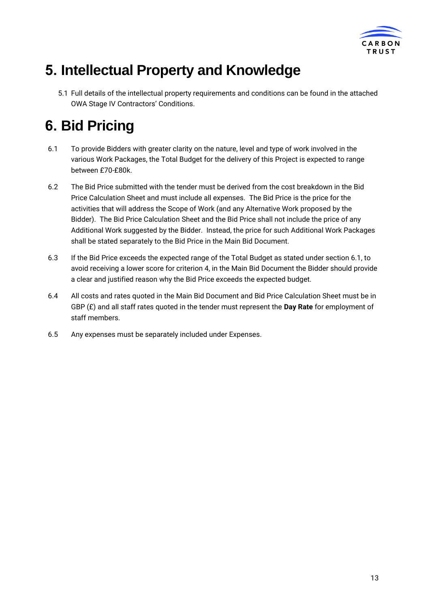

# <span id="page-12-0"></span>**5. Intellectual Property and Knowledge**

5.1 Full details of the intellectual property requirements and conditions can be found in the attached OWA Stage IV Contractors' Conditions.

# <span id="page-12-1"></span>**6. Bid Pricing**

- 6.1 To provide Bidders with greater clarity on the nature, level and type of work involved in the various Work Packages, the Total Budget for the delivery of this Project is expected to range between £70-£80k.
- 6.2 The Bid Price submitted with the tender must be derived from the cost breakdown in the Bid Price Calculation Sheet and must include all expenses. The Bid Price is the price for the activities that will address the Scope of Work (and any Alternative Work proposed by the Bidder). The Bid Price Calculation Sheet and the Bid Price shall not include the price of any Additional Work suggested by the Bidder. Instead, the price for such Additional Work Packages shall be stated separately to the Bid Price in the Main Bid Document.
- 6.3 If the Bid Price exceeds the expected range of the Total Budget as stated under section 6.1, to avoid receiving a lower score for criterion 4, in the Main Bid Document the Bidder should provide a clear and justified reason why the Bid Price exceeds the expected budget.
- 6.4 All costs and rates quoted in the Main Bid Document and Bid Price Calculation Sheet must be in GBP (£) and all staff rates quoted in the tender must represent the **Day Rate** for employment of staff members.
- 6.5 Any expenses must be separately included under Expenses.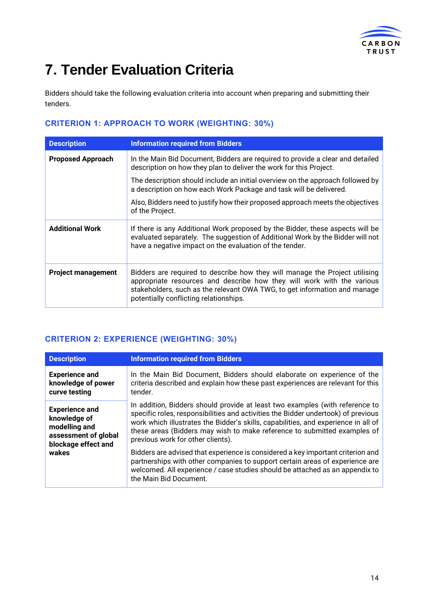

# <span id="page-13-0"></span>**7. Tender Evaluation Criteria**

Bidders should take the following evaluation criteria into account when preparing and submitting their tenders.

### **CRITERION 1: APPROACH TO WORK (WEIGHTING: 30%)**

| <b>Description</b>        | <b>Information required from Bidders</b>                                                                                                                                                                                                                                     |
|---------------------------|------------------------------------------------------------------------------------------------------------------------------------------------------------------------------------------------------------------------------------------------------------------------------|
| <b>Proposed Approach</b>  | In the Main Bid Document, Bidders are required to provide a clear and detailed<br>description on how they plan to deliver the work for this Project.                                                                                                                         |
|                           | The description should include an initial overview on the approach followed by<br>a description on how each Work Package and task will be delivered.                                                                                                                         |
|                           | Also, Bidders need to justify how their proposed approach meets the objectives<br>of the Project.                                                                                                                                                                            |
| <b>Additional Work</b>    | If there is any Additional Work proposed by the Bidder, these aspects will be<br>evaluated separately. The suggestion of Additional Work by the Bidder will not<br>have a negative impact on the evaluation of the tender.                                                   |
| <b>Project management</b> | Bidders are required to describe how they will manage the Project utilising<br>appropriate resources and describe how they will work with the various<br>stakeholders, such as the relevant OWA TWG, to get information and manage<br>potentially conflicting relationships. |

### **CRITERION 2: EXPERIENCE (WEIGHTING: 30%)**

| <b>Description</b>                                                                                             | <b>Information required from Bidders</b>                                                                                                                                                                                                                                                                                                                                 |
|----------------------------------------------------------------------------------------------------------------|--------------------------------------------------------------------------------------------------------------------------------------------------------------------------------------------------------------------------------------------------------------------------------------------------------------------------------------------------------------------------|
| <b>Experience and</b><br>knowledge of power<br>curve testing                                                   | In the Main Bid Document, Bidders should elaborate on experience of the<br>criteria described and explain how these past experiences are relevant for this<br>tender.                                                                                                                                                                                                    |
| <b>Experience and</b><br>knowledge of<br>modelling and<br>assessment of global<br>blockage effect and<br>wakes | In addition, Bidders should provide at least two examples (with reference to<br>specific roles, responsibilities and activities the Bidder undertook) of previous<br>work which illustrates the Bidder's skills, capabilities, and experience in all of<br>these areas (Bidders may wish to make reference to submitted examples of<br>previous work for other clients). |
|                                                                                                                | Bidders are advised that experience is considered a key important criterion and<br>partnerships with other companies to support certain areas of experience are<br>welcomed. All experience / case studies should be attached as an appendix to<br>the Main Bid Document.                                                                                                |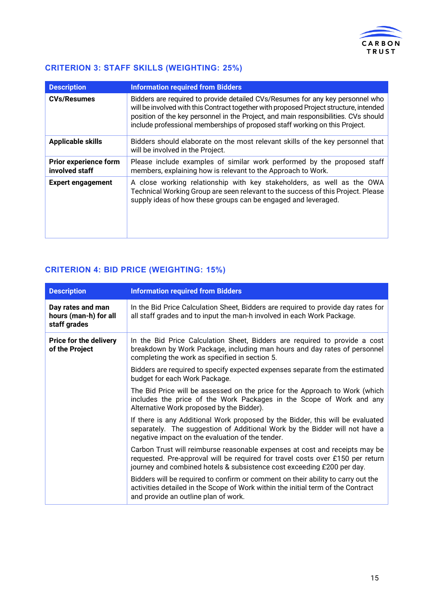

### **CRITERION 3: STAFF SKILLS (WEIGHTING: 25%)**

| <b>Description</b>                             | <b>Information required from Bidders</b>                                                                                                                                                                                                                                                                                                       |
|------------------------------------------------|------------------------------------------------------------------------------------------------------------------------------------------------------------------------------------------------------------------------------------------------------------------------------------------------------------------------------------------------|
| <b>CVs/Resumes</b>                             | Bidders are required to provide detailed CVs/Resumes for any key personnel who<br>will be involved with this Contract together with proposed Project structure, intended<br>position of the key personnel in the Project, and main responsibilities. CVs should<br>include professional memberships of proposed staff working on this Project. |
| <b>Applicable skills</b>                       | Bidders should elaborate on the most relevant skills of the key personnel that<br>will be involved in the Project.                                                                                                                                                                                                                             |
| <b>Prior experience form</b><br>involved staff | Please include examples of similar work performed by the proposed staff<br>members, explaining how is relevant to the Approach to Work.                                                                                                                                                                                                        |
| <b>Expert engagement</b>                       | A close working relationship with key stakeholders, as well as the OWA<br>Technical Working Group are seen relevant to the success of this Project. Please<br>supply ideas of how these groups can be engaged and leveraged.                                                                                                                   |

### **CRITERION 4: BID PRICE (WEIGHTING: 15%)**

| <b>Description</b>                                         | <b>Information required from Bidders</b>                                                                                                                                                                                                |
|------------------------------------------------------------|-----------------------------------------------------------------------------------------------------------------------------------------------------------------------------------------------------------------------------------------|
| Day rates and man<br>hours (man-h) for all<br>staff grades | In the Bid Price Calculation Sheet, Bidders are required to provide day rates for<br>all staff grades and to input the man-h involved in each Work Package.                                                                             |
| <b>Price for the delivery</b><br>of the Project            | In the Bid Price Calculation Sheet, Bidders are required to provide a cost<br>breakdown by Work Package, including man hours and day rates of personnel<br>completing the work as specified in section 5.                               |
|                                                            | Bidders are required to specify expected expenses separate from the estimated<br>budget for each Work Package.                                                                                                                          |
|                                                            | The Bid Price will be assessed on the price for the Approach to Work (which<br>includes the price of the Work Packages in the Scope of Work and any<br>Alternative Work proposed by the Bidder).                                        |
|                                                            | If there is any Additional Work proposed by the Bidder, this will be evaluated<br>separately. The suggestion of Additional Work by the Bidder will not have a<br>negative impact on the evaluation of the tender.                       |
|                                                            | Carbon Trust will reimburse reasonable expenses at cost and receipts may be<br>requested. Pre-approval will be required for travel costs over £150 per return<br>journey and combined hotels & subsistence cost exceeding £200 per day. |
|                                                            | Bidders will be required to confirm or comment on their ability to carry out the<br>activities detailed in the Scope of Work within the initial term of the Contract<br>and provide an outline plan of work.                            |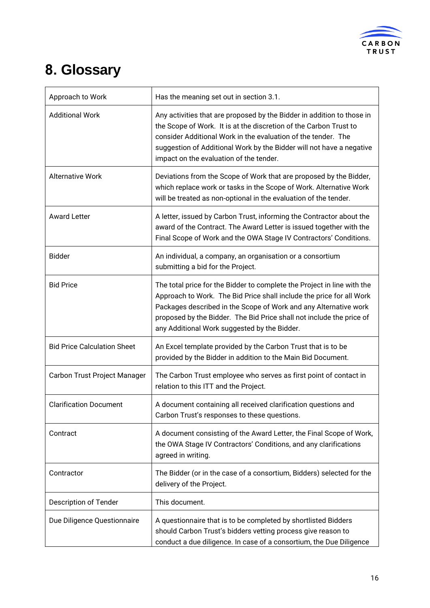

# <span id="page-15-0"></span>**8. Glossary**

| Approach to Work                   | Has the meaning set out in section 3.1.                                                                                                                                                                                                                                                                                                     |
|------------------------------------|---------------------------------------------------------------------------------------------------------------------------------------------------------------------------------------------------------------------------------------------------------------------------------------------------------------------------------------------|
| <b>Additional Work</b>             | Any activities that are proposed by the Bidder in addition to those in<br>the Scope of Work. It is at the discretion of the Carbon Trust to<br>consider Additional Work in the evaluation of the tender. The<br>suggestion of Additional Work by the Bidder will not have a negative<br>impact on the evaluation of the tender.             |
| <b>Alternative Work</b>            | Deviations from the Scope of Work that are proposed by the Bidder,<br>which replace work or tasks in the Scope of Work. Alternative Work<br>will be treated as non-optional in the evaluation of the tender.                                                                                                                                |
| <b>Award Letter</b>                | A letter, issued by Carbon Trust, informing the Contractor about the<br>award of the Contract. The Award Letter is issued together with the<br>Final Scope of Work and the OWA Stage IV Contractors' Conditions.                                                                                                                            |
| <b>Bidder</b>                      | An individual, a company, an organisation or a consortium<br>submitting a bid for the Project.                                                                                                                                                                                                                                              |
| <b>Bid Price</b>                   | The total price for the Bidder to complete the Project in line with the<br>Approach to Work. The Bid Price shall include the price for all Work<br>Packages described in the Scope of Work and any Alternative work<br>proposed by the Bidder. The Bid Price shall not include the price of<br>any Additional Work suggested by the Bidder. |
| <b>Bid Price Calculation Sheet</b> | An Excel template provided by the Carbon Trust that is to be<br>provided by the Bidder in addition to the Main Bid Document.                                                                                                                                                                                                                |
| Carbon Trust Project Manager       | The Carbon Trust employee who serves as first point of contact in<br>relation to this ITT and the Project.                                                                                                                                                                                                                                  |
| <b>Clarification Document</b>      | A document containing all received clarification questions and<br>Carbon Trust's responses to these questions.                                                                                                                                                                                                                              |
| Contract                           | A document consisting of the Award Letter, the Final Scope of Work,<br>the OWA Stage IV Contractors' Conditions, and any clarifications<br>agreed in writing.                                                                                                                                                                               |
| Contractor                         | The Bidder (or in the case of a consortium, Bidders) selected for the<br>delivery of the Project.                                                                                                                                                                                                                                           |
| Description of Tender              | This document.                                                                                                                                                                                                                                                                                                                              |
| Due Diligence Questionnaire        | A questionnaire that is to be completed by shortlisted Bidders<br>should Carbon Trust's bidders vetting process give reason to<br>conduct a due diligence. In case of a consortium, the Due Diligence                                                                                                                                       |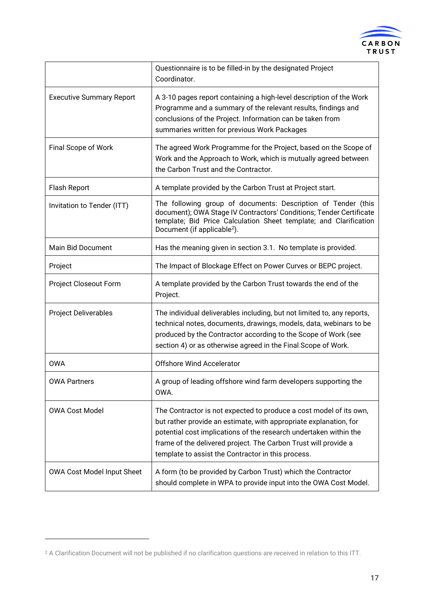

|                                 | Questionnaire is to be filled-in by the designated Project<br>Coordinator.                                                                                                                                                                                                                                                            |
|---------------------------------|---------------------------------------------------------------------------------------------------------------------------------------------------------------------------------------------------------------------------------------------------------------------------------------------------------------------------------------|
| <b>Executive Summary Report</b> | A 3-10 pages report containing a high-level description of the Work<br>Programme and a summary of the relevant results, findings and<br>conclusions of the Project. Information can be taken from<br>summaries written for previous Work Packages                                                                                     |
| Final Scope of Work             | The agreed Work Programme for the Project, based on the Scope of<br>Work and the Approach to Work, which is mutually agreed between<br>the Carbon Trust and the Contractor.                                                                                                                                                           |
| Flash Report                    | A template provided by the Carbon Trust at Project start.                                                                                                                                                                                                                                                                             |
| Invitation to Tender (ITT)      | The following group of documents: Description of Tender (this<br>document); OWA Stage IV Contractors' Conditions; Tender Certificate<br>template; Bid Price Calculation Sheet template; and Clarification<br>Document (if applicable <sup>2</sup> ).                                                                                  |
| Main Bid Document               | Has the meaning given in section 3.1. No template is provided.                                                                                                                                                                                                                                                                        |
| Project                         | The Impact of Blockage Effect on Power Curves or BEPC project.                                                                                                                                                                                                                                                                        |
| Project Closeout Form           | A template provided by the Carbon Trust towards the end of the<br>Project.                                                                                                                                                                                                                                                            |
| <b>Project Deliverables</b>     | The individual deliverables including, but not limited to, any reports,<br>technical notes, documents, drawings, models, data, webinars to be<br>produced by the Contractor according to the Scope of Work (see<br>section 4) or as otherwise agreed in the Final Scope of Work.                                                      |
| <b>OWA</b>                      | <b>Offshore Wind Accelerator</b>                                                                                                                                                                                                                                                                                                      |
| <b>OWA Partners</b>             | A group of leading offshore wind farm developers supporting the<br>OWA.                                                                                                                                                                                                                                                               |
| <b>OWA Cost Model</b>           | The Contractor is not expected to produce a cost model of its own,<br>but rather provide an estimate, with appropriate explanation, for<br>potential cost implications of the research undertaken within the<br>frame of the delivered project. The Carbon Trust will provide a<br>template to assist the Contractor in this process. |
| OWA Cost Model Input Sheet      | A form (to be provided by Carbon Trust) which the Contractor<br>should complete in WPA to provide input into the OWA Cost Model.                                                                                                                                                                                                      |

<sup>2</sup> A Clarification Document will not be published if no clarification questions are received in relation to this ITT.